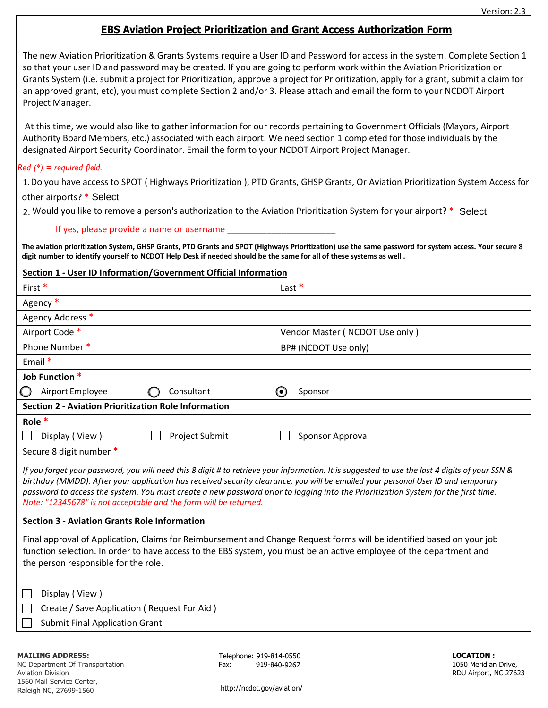## **EBS Aviation Project Prioritization and Grant Access Authorization Form**

| The new Aviation Prioritization & Grants Systems require a User ID and Password for access in the system. Complete Section 1         |
|--------------------------------------------------------------------------------------------------------------------------------------|
| so that your user ID and password may be created. If you are going to perform work within the Aviation Prioritization or             |
| Grants System (i.e. submit a project for Prioritization, approve a project for Prioritization, apply for a grant, submit a claim for |
| an approved grant, etc), you must complete Section 2 and/or 3. Please attach and email the form to your NCDOT Airport                |
| Project Manager.                                                                                                                     |

At this time, we would also like to gather information for our records pertaining to Government Officials (Mayors, Airport Authority Board Members, etc.) associated with each airport. We need section 1 completed for those individuals by the designated Airport Security Coordinator. Email the form to your NCDOT Airport Project Manager.

## *Red (\*) = required field.*

1.Do you have access to SPOT ( Highways Prioritization ), PTD Grants, GHSP Grants, Or Aviation Prioritization System Access for

other airports? \* Select

2. Would you like to remove a person's authorization to the Aviation Prioritization System for your airport? \* Select

## If yes, please provide a name or username

**The aviation prioritization System, GHSP Grants, PTD Grants and SPOT (Highways Prioritization) use the same password for system access. Your secure 8 digit number to identify yourself to NCDOT Help Desk if needed should be the same for all of these systems as well .**

| Last $*$<br>First*<br>Agency*<br>Agency Address *<br>Airport Code *<br>Vendor Master (NCDOT Use only)<br>Phone Number*<br>BP# (NCDOT Use only)<br>Email $*$<br>Job Function *<br>Airport Employee<br>$\boldsymbol{\Theta}$<br>Consultant<br>Sponsor<br><b>Section 2 - Aviation Prioritization Role Information</b><br>Role *<br>Display (View)<br><b>Project Submit</b><br>Sponsor Approval<br>Secure 8 digit number *<br>If you forget your password, you will need this 8 digit # to retrieve your information. It is suggested to use the last 4 digits of your SSN &<br>birthday (MMDD). After your application has received security clearance, you will be emailed your personal User ID and temporary<br>password to access the system. You must create a new password prior to logging into the Prioritization System for the first time.<br>Note: "12345678" is not acceptable and the form will be returned.<br><b>Section 3 - Aviation Grants Role Information</b><br>Final approval of Application, Claims for Reimbursement and Change Request forms will be identified based on your job<br>function selection. In order to have access to the EBS system, you must be an active employee of the department and<br>the person responsible for the role.<br>Display (View)<br>Create / Save Application (Request For Aid) | Section 1 - User ID Information/Government Official Information |  |  |  |
|----------------------------------------------------------------------------------------------------------------------------------------------------------------------------------------------------------------------------------------------------------------------------------------------------------------------------------------------------------------------------------------------------------------------------------------------------------------------------------------------------------------------------------------------------------------------------------------------------------------------------------------------------------------------------------------------------------------------------------------------------------------------------------------------------------------------------------------------------------------------------------------------------------------------------------------------------------------------------------------------------------------------------------------------------------------------------------------------------------------------------------------------------------------------------------------------------------------------------------------------------------------------------------------------------------------------------------------|-----------------------------------------------------------------|--|--|--|
|                                                                                                                                                                                                                                                                                                                                                                                                                                                                                                                                                                                                                                                                                                                                                                                                                                                                                                                                                                                                                                                                                                                                                                                                                                                                                                                                        |                                                                 |  |  |  |
|                                                                                                                                                                                                                                                                                                                                                                                                                                                                                                                                                                                                                                                                                                                                                                                                                                                                                                                                                                                                                                                                                                                                                                                                                                                                                                                                        |                                                                 |  |  |  |
|                                                                                                                                                                                                                                                                                                                                                                                                                                                                                                                                                                                                                                                                                                                                                                                                                                                                                                                                                                                                                                                                                                                                                                                                                                                                                                                                        |                                                                 |  |  |  |
|                                                                                                                                                                                                                                                                                                                                                                                                                                                                                                                                                                                                                                                                                                                                                                                                                                                                                                                                                                                                                                                                                                                                                                                                                                                                                                                                        |                                                                 |  |  |  |
|                                                                                                                                                                                                                                                                                                                                                                                                                                                                                                                                                                                                                                                                                                                                                                                                                                                                                                                                                                                                                                                                                                                                                                                                                                                                                                                                        |                                                                 |  |  |  |
|                                                                                                                                                                                                                                                                                                                                                                                                                                                                                                                                                                                                                                                                                                                                                                                                                                                                                                                                                                                                                                                                                                                                                                                                                                                                                                                                        |                                                                 |  |  |  |
|                                                                                                                                                                                                                                                                                                                                                                                                                                                                                                                                                                                                                                                                                                                                                                                                                                                                                                                                                                                                                                                                                                                                                                                                                                                                                                                                        |                                                                 |  |  |  |
|                                                                                                                                                                                                                                                                                                                                                                                                                                                                                                                                                                                                                                                                                                                                                                                                                                                                                                                                                                                                                                                                                                                                                                                                                                                                                                                                        |                                                                 |  |  |  |
|                                                                                                                                                                                                                                                                                                                                                                                                                                                                                                                                                                                                                                                                                                                                                                                                                                                                                                                                                                                                                                                                                                                                                                                                                                                                                                                                        |                                                                 |  |  |  |
|                                                                                                                                                                                                                                                                                                                                                                                                                                                                                                                                                                                                                                                                                                                                                                                                                                                                                                                                                                                                                                                                                                                                                                                                                                                                                                                                        |                                                                 |  |  |  |
|                                                                                                                                                                                                                                                                                                                                                                                                                                                                                                                                                                                                                                                                                                                                                                                                                                                                                                                                                                                                                                                                                                                                                                                                                                                                                                                                        |                                                                 |  |  |  |
|                                                                                                                                                                                                                                                                                                                                                                                                                                                                                                                                                                                                                                                                                                                                                                                                                                                                                                                                                                                                                                                                                                                                                                                                                                                                                                                                        |                                                                 |  |  |  |
|                                                                                                                                                                                                                                                                                                                                                                                                                                                                                                                                                                                                                                                                                                                                                                                                                                                                                                                                                                                                                                                                                                                                                                                                                                                                                                                                        |                                                                 |  |  |  |
|                                                                                                                                                                                                                                                                                                                                                                                                                                                                                                                                                                                                                                                                                                                                                                                                                                                                                                                                                                                                                                                                                                                                                                                                                                                                                                                                        |                                                                 |  |  |  |
|                                                                                                                                                                                                                                                                                                                                                                                                                                                                                                                                                                                                                                                                                                                                                                                                                                                                                                                                                                                                                                                                                                                                                                                                                                                                                                                                        |                                                                 |  |  |  |
|                                                                                                                                                                                                                                                                                                                                                                                                                                                                                                                                                                                                                                                                                                                                                                                                                                                                                                                                                                                                                                                                                                                                                                                                                                                                                                                                        |                                                                 |  |  |  |
|                                                                                                                                                                                                                                                                                                                                                                                                                                                                                                                                                                                                                                                                                                                                                                                                                                                                                                                                                                                                                                                                                                                                                                                                                                                                                                                                        |                                                                 |  |  |  |
| <b>Submit Final Application Grant</b>                                                                                                                                                                                                                                                                                                                                                                                                                                                                                                                                                                                                                                                                                                                                                                                                                                                                                                                                                                                                                                                                                                                                                                                                                                                                                                  |                                                                 |  |  |  |

## **MAILING ADDRESS:**

NC Department Of Transportation Aviation Division 1560 Mail Service Center, Raleigh NC, 27699-1560

Telephone: 919-814-0550 **LOCATION :** Fax: 919-840-9267

1050 Meridian Drive, RDU Airport, NC 27623

<http://ncdot.gov/aviation/>